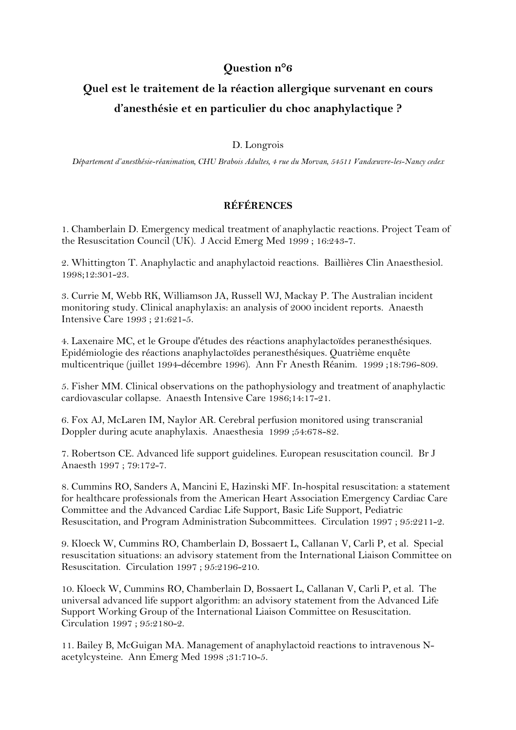## **Question n°6**

## **Quel est le traitement de la réaction allergique survenant en cours d'anesthésie et en particulier du choc anaphylactique ?**

## D. Longrois

*Département d'anesthésie-réanimation, CHU Brabois Adultes, 4 rue du Morvan, 54511 Vandœuvre-les-Nancy cedex*

## **RÉFÉRENCES**

1. Chamberlain D. Emergency medical treatment of anaphylactic reactions. Project Team of the Resuscitation Council (UK). J Accid Emerg Med 1999 ; 16:243-7.

2. Whittington T. Anaphylactic and anaphylactoid reactions. Baillières Clin Anaesthesiol. 1998;12:301-23.

3. Currie M, Webb RK, Williamson JA, Russell WJ, Mackay P. The Australian incident monitoring study. Clinical anaphylaxis: an analysis of 2000 incident reports. Anaesth Intensive Care 1993 ; 21:621-5.

4. Laxenaire MC, et le Groupe d'études des réactions anaphylactoïdes peranesthésiques. Epidémiologie des réactions anaphylactoïdes peranesthésiques. Quatrième enquête multicentrique (juillet 1994-décembre 1996). Ann Fr Anesth Réanim. 1999 ;18:796-809.

5. Fisher MM. Clinical observations on the pathophysiology and treatment of anaphylactic cardiovascular collapse. Anaesth Intensive Care 1986;14:17-21.

6. Fox AJ, McLaren IM, Naylor AR. Cerebral perfusion monitored using transcranial Doppler during acute anaphylaxis. Anaesthesia 1999 ;54:678-82.

7. Robertson CE. Advanced life support guidelines. European resuscitation council. Br J Anaesth 1997 ; 79:172-7.

8. Cummins RO, Sanders A, Mancini E, Hazinski MF. In-hospital resuscitation: a statement for healthcare professionals from the American Heart Association Emergency Cardiac Care Committee and the Advanced Cardiac Life Support, Basic Life Support, Pediatric Resuscitation, and Program Administration Subcommittees. Circulation 1997 ; 95:2211-2.

9. Kloeck W, Cummins RO, Chamberlain D, Bossaert L, Callanan V, Carli P, et al. Special resuscitation situations: an advisory statement from the International Liaison Committee on Resuscitation. Circulation 1997 ; 95:2196-210.

10. Kloeck W, Cummins RO, Chamberlain D, Bossaert L, Callanan V, Carli P, et al. The universal advanced life support algorithm: an advisory statement from the Advanced Life Support Working Group of the International Liaison Committee on Resuscitation. Circulation 1997 ; 95:2180-2.

11. Bailey B, McGuigan MA. Management of anaphylactoid reactions to intravenous Nacetylcysteine. Ann Emerg Med 1998 ;31:710-5.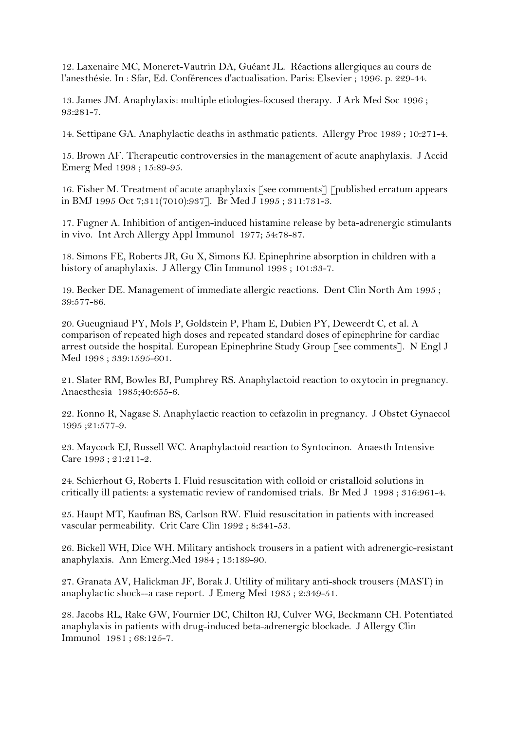12. Laxenaire MC, Moneret-Vautrin DA, Guéant JL. Réactions allergiques au cours de l'anesthésie. In : Sfar, Ed. Conférences d'actualisation. Paris: Elsevier ; 1996. p. 229-44.

13. James JM. Anaphylaxis: multiple etiologies-focused therapy. J Ark Med Soc 1996 ;  $93.281 - 7$ 

14. Settipane GA. Anaphylactic deaths in asthmatic patients. Allergy Proc 1989 ; 10:271-4.

15. Brown AF. Therapeutic controversies in the management of acute anaphylaxis. J Accid Emerg Med 1998 ; 15:89-95.

16. Fisher M. Treatment of acute anaphylaxis [see comments] [published erratum appears in BMJ 1995 Oct 7;311(7010):937]. Br Med J 1995 ; 311:731-3.

17. Fugner A. Inhibition of antigen-induced histamine release by beta-adrenergic stimulants in vivo. Int Arch Allergy Appl Immunol 1977; 54:78-87.

18. Simons FE, Roberts JR, Gu X, Simons KJ. Epinephrine absorption in children with a history of anaphylaxis. J Allergy Clin Immunol 1998 ; 101:33-7.

19. Becker DE. Management of immediate allergic reactions. Dent Clin North Am 1995 ; 39:577-86.

20. Gueugniaud PY, Mols P, Goldstein P, Pham E, Dubien PY, Deweerdt C, et al. A comparison of repeated high doses and repeated standard doses of epinephrine for cardiac arrest outside the hospital. European Epinephrine Study Group [see comments]. N Engl J Med 1998 ; 339:1595-601.

21. Slater RM, Bowles BJ, Pumphrey RS. Anaphylactoid reaction to oxytocin in pregnancy. Anaesthesia 1985;40:655-6.

22. Konno R, Nagase S. Anaphylactic reaction to cefazolin in pregnancy. J Obstet Gynaecol 1995 ;21:577-9.

23. Maycock EJ, Russell WC. Anaphylactoid reaction to Syntocinon. Anaesth Intensive Care 1993 ; 21:211-2.

24. Schierhout G, Roberts I. Fluid resuscitation with colloid or cristalloid solutions in critically ill patients: a systematic review of randomised trials. Br Med J 1998 ; 316:961-4.

25. Haupt MT, Kaufman BS, Carlson RW. Fluid resuscitation in patients with increased vascular permeability. Crit Care Clin 1992 ; 8:341-53.

26. Bickell WH, Dice WH. Military antishock trousers in a patient with adrenergic-resistant anaphylaxis. Ann Emerg.Med 1984 ; 13:189-90.

27. Granata AV, Halickman JF, Borak J. Utility of military anti-shock trousers (MAST) in anaphylactic shock--a case report. J Emerg Med 1985 ; 2:349-51.

28. Jacobs RL, Rake GW, Fournier DC, Chilton RJ, Culver WG, Beckmann CH. Potentiated anaphylaxis in patients with drug-induced beta-adrenergic blockade. J Allergy Clin Immunol 1981 ; 68:125-7.